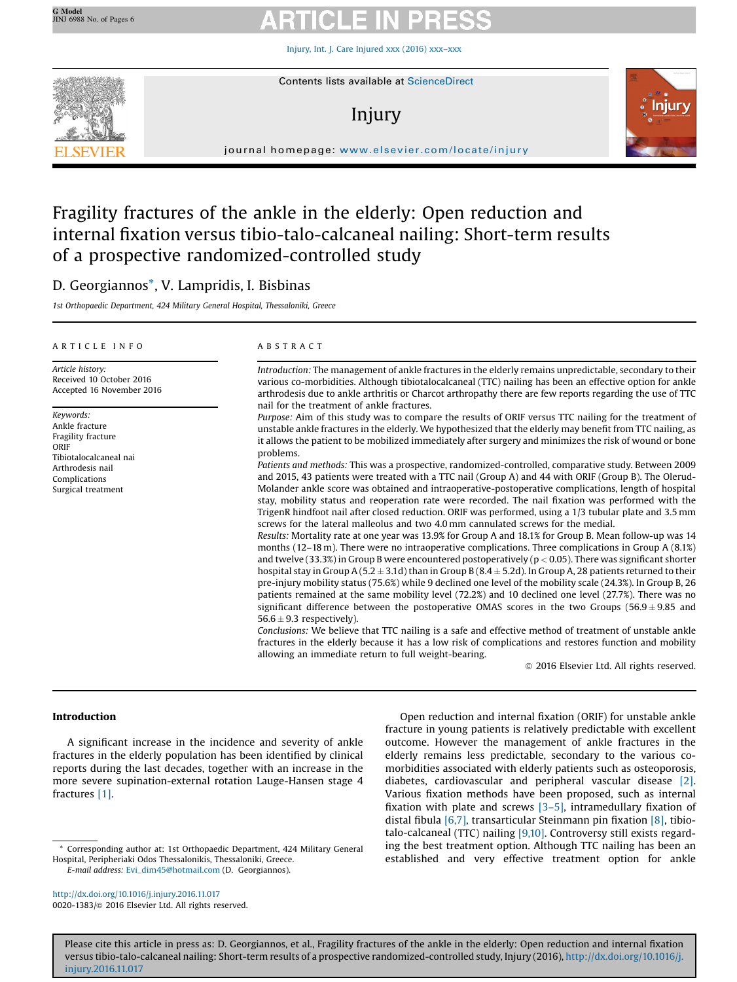Injury, Int. J. Care [Injured](http://dx.doi.org/10.1016/j.injury.2016.11.017) xxx (2016) xxx–xxx



# Injury



journal homepage: <www.elsevier.com/locate/injury>/ $\mathcal{N}$ 

## Fragility fractures of the ankle in the elderly: Open reduction and internal fixation versus tibio-talo-calcaneal nailing: Short-term results of a prospective randomized-controlled study

## D. Georgiannos\*, V. Lampridis, I. Bisbinas

1st Orthopaedic Department, 424 Military General Hospital, Thessaloniki, Greece

### A R T I C L E I N F O

Article history: Received 10 October 2016 Accepted 16 November 2016

Keywords: Ankle fracture Fragility fracture ORIF Tibiotalocalcaneal nai Arthrodesis nail Complications Surgical treatment

### A B S T R A C T

Introduction: The management of ankle fractures in the elderly remains unpredictable, secondary to their various co-morbidities. Although tibiotalocalcaneal (TTC) nailing has been an effective option for ankle arthrodesis due to ankle arthritis or Charcot arthropathy there are few reports regarding the use of TTC nail for the treatment of ankle fractures.

Purpose: Aim of this study was to compare the results of ORIF versus TTC nailing for the treatment of unstable ankle fractures in the elderly. We hypothesized that the elderly may benefit from TTC nailing, as it allows the patient to be mobilized immediately after surgery and minimizes the risk of wound or bone problems.

Patients and methods: This was a prospective, randomized-controlled, comparative study. Between 2009 and 2015, 43 patients were treated with a TTC nail (Group A) and 44 with ORIF (Group B). The Olerud-Molander ankle score was obtained and intraoperative-postoperative complications, length of hospital stay, mobility status and reoperation rate were recorded. The nail fixation was performed with the TrigenR hindfoot nail after closed reduction. ORIF was performed, using a 1/3 tubular plate and 3.5 mm screws for the lateral malleolus and two 4.0 mm cannulated screws for the medial.

Results: Mortality rate at one year was 13.9% for Group A and 18.1% for Group B. Mean follow-up was 14 months (12–18 m). There were no intraoperative complications. Three complications in Group A (8.1%) and twelve (33.3%) in Group B were encountered postoperatively ( $p < 0.05$ ). There was significant shorter hospital stay in Group A (5.2  $\pm$  3.1d) than in Group B (8.4  $\pm$  5.2d). In Group A, 28 patients returned to their pre-injury mobility status (75.6%) while 9 declined one level of the mobility scale (24.3%). In Group B, 26 patients remained at the same mobility level (72.2%) and 10 declined one level (27.7%). There was no significant difference between the postoperative OMAS scores in the two Groups ( $56.9 \pm 9.85$  and  $56.6 \pm 9.3$  respectively).

Conclusions: We believe that TTC nailing is a safe and effective method of treatment of unstable ankle fractures in the elderly because it has a low risk of complications and restores function and mobility allowing an immediate return to full weight-bearing.

ã 2016 Elsevier Ltd. All rights reserved.

### Introduction

A significant increase in the incidence and severity of ankle fractures in the elderly population has been identified by clinical reports during the last decades, together with an increase in the more severe supination-external rotation Lauge-Hansen stage 4 fractures [1].

<http://dx.doi.org/10.1016/j.injury.2016.11.017> 0020-1383/@ 2016 Elsevier Ltd. All rights reserved.

Open reduction and internal fixation (ORIF) for unstable ankle fracture in young patients is relatively predictable with excellent outcome. However the management of ankle fractures in the elderly remains less predictable, secondary to the various comorbidities associated with elderly patients such as osteoporosis, diabetes, cardiovascular and peripheral vascular disease [2]. Various fixation methods have been proposed, such as internal fixation with plate and screws  $[3-5]$ , intramedullary fixation of distal fibula  $[6,7]$ , transarticular Steinmann pin fixation  $[8]$ , tibiotalo-calcaneal (TTC) nailing [9,10]. Controversy still exists regarding the best treatment option. Although TTC nailing has been an established and very effective treatment option for ankle

Please cite this article in press as: D. Georgiannos, et al., Fragility fractures of the ankle in the elderly: Open reduction and internal fixation versus tibio-talo-calcaneal nailing: Short-term results of a prospective randomized-controlled study, Injury (2016), [http://dx.doi.org/10.1016/j.](http://dx.doi.org/10.1016/j.injury.2016.11.017) [injury.2016.11.017](http://dx.doi.org/10.1016/j.injury.2016.11.017)

Corresponding author at: 1st Orthopaedic Department, 424 Military General Hospital, Peripheriaki Odos Thessalonikis, Thessaloniki, Greece. E-mail address: [Evi\\_dim45@hotmail.com](mailto:Evi_dim45@hotmail.com) (D. Georgiannos).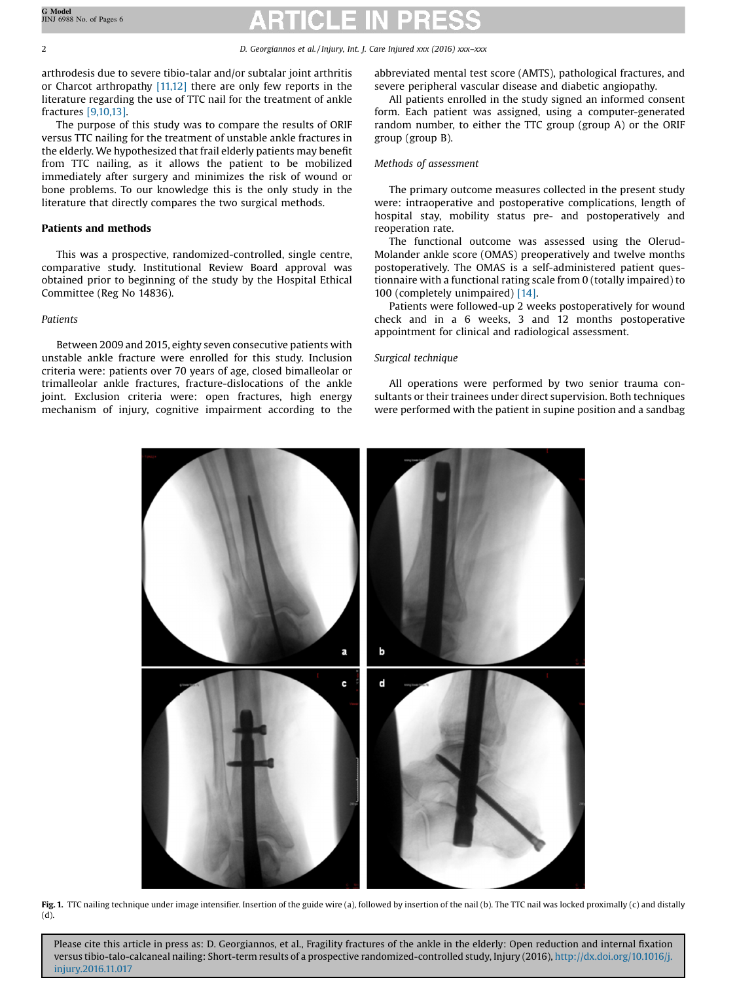### 2 D. Georgiannos et al. / Injury, Int. J. Care Injured xxx (2016) xxx–xxx

arthrodesis due to severe tibio-talar and/or subtalar joint arthritis or Charcot arthropathy [11,12] there are only few reports in the literature regarding the use of TTC nail for the treatment of ankle fractures [9,10,13].

The purpose of this study was to compare the results of ORIF versus TTC nailing for the treatment of unstable ankle fractures in the elderly. We hypothesized that frail elderly patients may benefit from TTC nailing, as it allows the patient to be mobilized immediately after surgery and minimizes the risk of wound or bone problems. To our knowledge this is the only study in the literature that directly compares the two surgical methods.

### Patients and methods

This was a prospective, randomized-controlled, single centre, comparative study. Institutional Review Board approval was obtained prior to beginning of the study by the Hospital Ethical Committee (Reg No 14836).

### Patients

Between 2009 and 2015, eighty seven consecutive patients with unstable ankle fracture were enrolled for this study. Inclusion criteria were: patients over 70 years of age, closed bimalleolar or trimalleolar ankle fractures, fracture-dislocations of the ankle joint. Exclusion criteria were: open fractures, high energy mechanism of injury, cognitive impairment according to the

abbreviated mental test score (AMTS), pathological fractures, and severe peripheral vascular disease and diabetic angiopathy.

All patients enrolled in the study signed an informed consent form. Each patient was assigned, using a computer-generated random number, to either the TTC group (group A) or the ORIF group (group B).

### Methods of assessment

The primary outcome measures collected in the present study were: intraoperative and postoperative complications, length of hospital stay, mobility status pre- and postoperatively and reoperation rate.

The functional outcome was assessed using the Olerud-Molander ankle score (OMAS) preoperatively and twelve months postoperatively. The OMAS is a self-administered patient questionnaire with a functional rating scale from 0 (totally impaired) to 100 (completely unimpaired) [14].

Patients were followed-up 2 weeks postoperatively for wound check and in a 6 weeks, 3 and 12 months postoperative appointment for clinical and radiological assessment.

### Surgical technique

All operations were performed by two senior trauma consultants or their trainees under direct supervision. Both techniques were performed with the patient in supine position and a sandbag



Fig. 1. TTC nailing technique under image intensifier. Insertion of the guide wire (a), followed by insertion of the nail (b). The TTC nail was locked proximally (c) and distally (d).

Please cite this article in press as: D. Georgiannos, et al., Fragility fractures of the ankle in the elderly: Open reduction and internal fixation versus tibio-talo-calcaneal nailing: Short-term results of a prospective randomized-controlled study, Injury (2016), [http://dx.doi.org/10.1016/j.](http://dx.doi.org/10.1016/j.injury.2016.11.017) [injury.2016.11.017](http://dx.doi.org/10.1016/j.injury.2016.11.017)